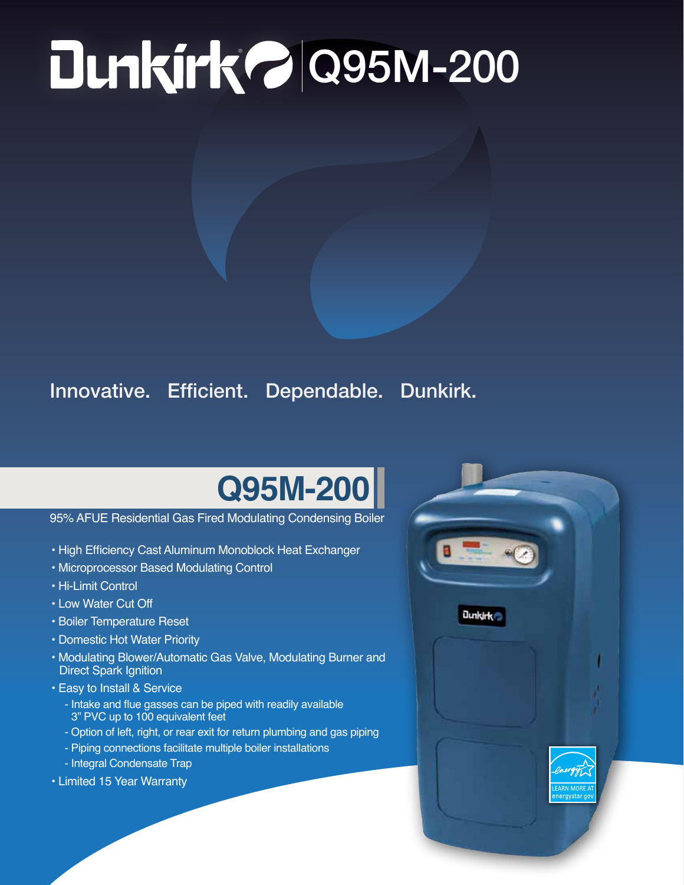# ® Q95M-200

### Innovative. Efficient. Dependable. Dunkirk.

## **Q95M-200**

#### 95% AFUE Residential Gas Fired Modulating Condensing Boiler

- High Efficiency Cast Aluminum Monoblock Heat Exchanger
- Microprocessor Based Modulating Control
- Hi-Limit Control
- Low Water Cut Off
- Boiler Temperature Reset
- Domestic Hot Water Priority
- Modulating Blower/Automatic Gas Valve, Modulating Burner and Direct Spark Ignition
- Easy to Install & Service
	- Intake and flue gasses can be piped with readily available 3" PVC up to 100 equivalent feet
	- Option of left, right, or rear exit for return plumbing and gas piping
	- Piping connections facilitate multiple boiler installations
	- Integral Condensate Trap
- Limited 15 Year Warranty